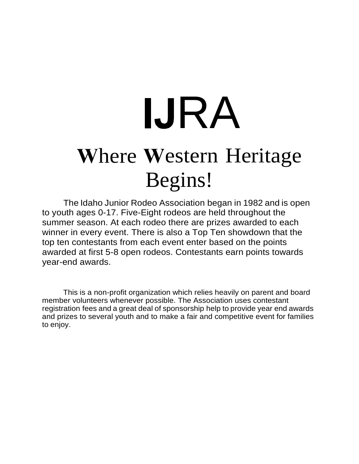# here Western Heritage **IJRA** Begins!

The Idaho Junior Rodeo Association began in 1982 and is open to youth ages 0-17. Five-Eight rodeos are held throughout the summer season. At each rodeo there are prizes awarded to each winner in every event. There is also a Top Ten showdown that the top ten contestants from each event enter based on the points awarded at first 5-8 open rodeos. Contestants earn points towards year-end awards.

This is a non-profit organization which relies heavily on parent and board member volunteers whenever possible. The Association uses contestant registration fees and a great deal of sponsorship help to provide year end awards and prizes to several youth and to make a fair and competitive event for families to enjoy.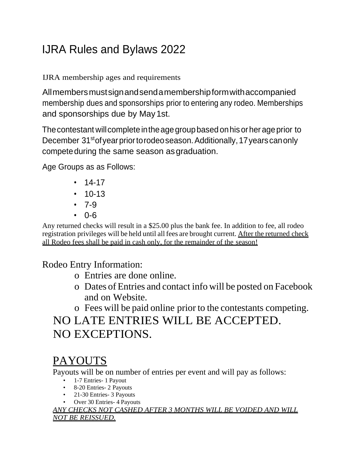# IJRA Rules and Bylaws 2022

IJRA membership ages and requirements

Allmembersmustsignandsendamembershipformwithaccompanied membership dues and sponsorships prior to entering any rodeo. Memberships and sponsorships due by May1st.

The contestant will complete in the age group based on his or her age prior to December 31<sup>st</sup> of year prior to rodeo season. Additionally, 17 years can only compete during the same season as graduation.

Age Groups as as Follows:

- $14-17$
- $\cdot$  10-13
- $-7-9$
- 0-6

Any returned checks will result in a \$25.00 plus the bank fee. In addition to fee, all rodeo registration privileges will be held until all fees are brought current. After the returned check all Rodeo fees shall be paid in cash only, for the remainder of the season!

#### Rodeo Entry Information:

- o Entries are done online.
- o Dates of Entries and contact info will be posted on Facebook and on Website.
- o Fees will be paid online prior to the contestants competing.

## NO LATE ENTRIES WILL BE ACCEPTED. NO EXCEPTIONS.

## PAYOUTS

Payouts will be on number of entries per event and will pay as follows:

- 1-7 Entries- 1 Payout
- 8-20 Entries- 2 Payouts
- 21-30 Entries- 3 Payouts
- Over 30 Entries- 4 Payouts

*ANY CHECKS NOT CASHED AFTER 3 MONTHS WILL BE VOIDED AND WILL NOT BE REISSUED.*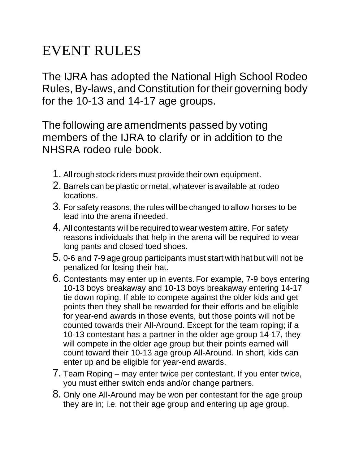# EVENT RULES

The IJRA has adopted the National High School Rodeo Rules, By-laws, and Constitution fortheir governing body for the 10-13 and 14-17 age groups.

The following are amendments passed by voting members of the IJRA to clarify or in addition to the NHSRA rodeo rule book.

- 1. All rough stock riders must provide their own equipment.
- 2. Barrels can be plastic or metal, whatever is available at rodeo locations.
- 3. For safety reasons, the rules will be changed to allow horses to be lead into the arena ifneeded.
- 4. All contestants will be required to wear western attire. For safety reasons individuals that help in the arena will be required to wear long pants and closed toed shoes.
- 5. 0-6 and 7-9 age group participants must start with hat but will not be penalized for losing their hat.
- 6. Contestants may enter up in events.For example, 7-9 boys entering 10-13 boys breakaway and 10-13 boys breakaway entering 14-17 tie down roping. If able to compete against the older kids and get points then they shall be rewarded for their efforts and be eligible for year-end awards in those events, but those points will not be counted towards their All-Around. Except for the team roping; if a 10-13 contestant has a partner in the older age group 14-17, they will compete in the older age group but their points earned will count toward their 10-13 age group All-Around. In short, kids can enter up and be eligible for year-end awards.
- 7. Team Roping may enter twice per contestant. If you enter twice, you must either switch ends and/or change partners.
- 8. Only one All-Around may be won per contestant for the age group they are in; i.e. not their age group and entering up age group.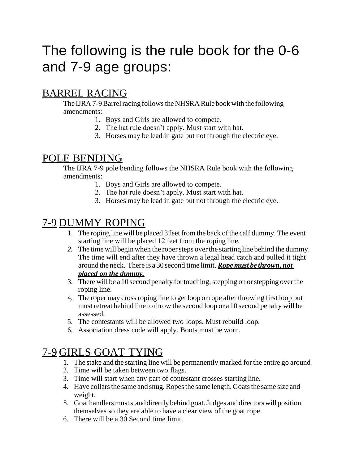# The following is the rule book for the 0-6 and 7-9 age groups:

#### BARREL RACING

The IJRA 7-9 Barrel racing follows the NHSRA Rule book with the following amendments:

- 1. Boys and Girls are allowed to compete.
- 2. The hat rule doesn't apply. Must start with hat.
- 3. Horses may be lead in gate but not through the electric eye.

#### POLE BENDING

The IJRA 7-9 pole bending follows the NHSRA Rule book with the following amendments:

- 1. Boys and Girls are allowed to compete.
- 2. The hat rule doesn't apply. Must start with hat.
- 3. Horses may be lead in gate but not through the electric eye.

#### 7-9 DUMMY ROPING

- 1. The roping line will be placed 3 feet from the back of the calf dummy. The event starting line will be placed 12 feet from the roping line.
- 2. The time will begin when the roper steps over the starting line behind the dummy. The time will end after they have thrown a legal head catch and pulled it tight around the neck. There is a 30 second time limit. *Ropemust be thrown, not placed on the dummy.*
- 3. There will be a 10 second penalty for touching, stepping on or stepping over the roping line.
- 4. The roper may crossroping line to get loop or rope after throwing first loop but must retreat behind line to throw the second loop or a10 second penalty will be assessed.
- 5. The contestants will be allowed two loops. Must rebuild loop.
- 6. Association dress code will apply. Boots must be worn.

#### 7-9 GIRLS GOAT TYING

- 1. The stake and the starting line will be permanently marked for the entire go around
- 2. Time will be taken between two flags.
- 3. Time will start when any part of contestant crosses starting line.
- 4. Have collars the same and snug. Ropes the same length. Goats the same size and weight.
- 5. Goat handlers must stand directly behind goat. Judges and directors will position themselves so they are able to have a clear view of the goat rope.
- 6. There will be a 30 Second time limit.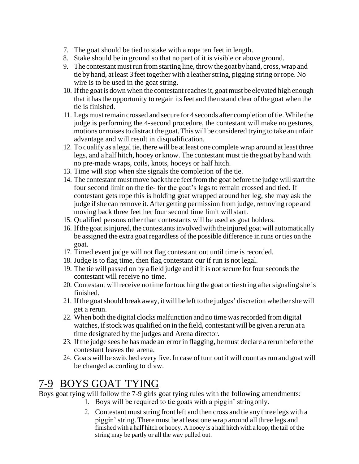- 7. The goat should be tied to stake with a rope ten feet in length.
- 8. Stake should be in ground so that no part of it is visible or above ground.
- 9. The contestant must run fromstarting line, throw the goat byhand, cross, wrap and tie by hand, at least 3 feet together with a leather string, pigging string or rope. No wire is to be used in the goat string.
- 10. If the goat is down when the contestant reaches it, goat must be elevated high enough that it hasthe opportunity to regain itsfeet and then stand clear of the goat when the tie is finished.
- 11. Legs mustremain crossed and secure for 4seconds after completion oftie.While the judge is performing the 4-second procedure, the contestant will make no gestures, motions or noises to distract the goat. This will be considered trying to take an unfair advantage and will result in disqualification.
- 12. To qualify as a legal tie, there will be at least one complete wrap around at least three legs, and a half hitch, hooey or know. The contestant must tie the goat by hand with no pre-made wraps, coils, knots, hooeys or half hitch.
- 13. Time will stop when she signals the completion of the tie.
- 14. The contestant must move back three feet from the goat before the judge will start the four second limit on the tie- for the goat's legs to remain crossed and tied. If contestant gets rope this is holding goat wrapped around her leg, she may ask the judge if she can remove it. After getting permission from judge, removing rope and moving back three feet her four second time limit will start.
- 15. Qualified persons other than contestants will be used as goat holders.
- 16. Ifthegoatisinjured, the contestantsinvolved with the injured goatwill automatically be assigned the extra goat regardless of the possible difference in runs or ties on the goat.
- 17. Timed event judge will not flag contestant out until time is recorded.
- 18. Judge is to flag time, then flag contestant our if run is not legal.
- 19. The tie will passed on by a field judge and ifit is notsecure for fourseconds the contestant will receive no time.
- 20. Contestant will receive no time for touching the goat or tie string after signaling she is finished.
- 21. If the goat should break away, it will be left to the judges' discretion whether she will get a rerun.
- 22. When both the digital clocks malfunction and no time wasrecorded from digital watches, if stock was qualified on in the field, contestant will be given a rerun at a time designated by the judges and Arena director.
- 23. If the judge sees he has made an error in flagging, he must declare a rerun before the contestant leaves the arena.
- 24. Goats will be switched every five. In case of turn out it will count asrun and goat will be changed according to draw.

#### 7-9 BOYS GOAT TYING

Boys goat tying will follow the 7-9 girls goat tying rules with the following amendments:

- 1. Boys will be required to tie goats with a piggin' stringonly.
- 2. Contestant must string front left and then cross and tie any three legs with a piggin'string. There must be at least one wrap around all three legs and finished with a half hitch or hooey. A hooey is a half hitch with a loop, the tail of the string may be partly or all the way pulled out.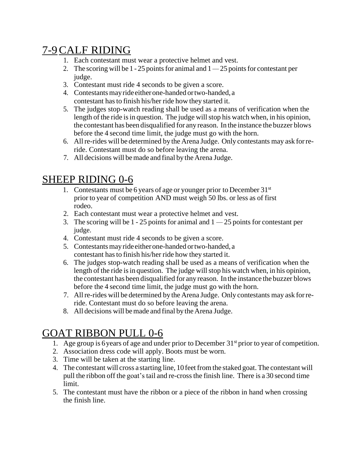### 7-9CALF RIDING

- 1. Each contestant must wear a protective helmet and vest.
- 2. The scoring will be  $1 25$  points for animal and  $1 25$  points for contestant per judge.
- 3. Contestant must ride 4 seconds to be given a score.
- 4. Contestants may ride either one-handed or two-handed, a contestant hasto finish his/her ride how they started it.
- 5. The judges stop-watch reading shall be used as a means of verification when the length of the ride is in question. The judge will stop his watch when, in his opinion, the contestant has been disqualified for any reason. In the instance the buzzer blows before the 4 second time limit, the judge must go with the horn.
- 6. Allre-rides will be determined by the Arena Judge. Only contestants may ask forreride. Contestant must do so before leaving the arena.
- 7. All decisions will be made and final by the Arena Judge.

#### SHEEP RIDING 0-6

- 1. Contestants must be 6 years of age or younger prior to December  $31<sup>st</sup>$ prior to year of competition AND must weigh 50 lbs. or less as of first rodeo.
- 2. Each contestant must wear a protective helmet and vest.
- 3. The scoring will be 1 25 points for animal and  $1 25$  points for contestant per judge.
- 4. Contestant must ride 4 seconds to be given a score.
- 5. Contestants may ride either one-handed or two-handed, a contestant has to finish his/her ride how they started it.
- 6. The judges stop-watch reading shall be used as a means of verification when the length of the ride is in question. The judge will stop his watch when, in his opinion, the contestant has been disqualified for any reason. Inthe instance the buzzer blows before the 4 second time limit, the judge must go with the horn.
- 7. Allre-rides will be determined by the Arena Judge. Only contestants may ask forreride. Contestant must do so before leaving the arena.
- 8. All decisions will be made and final by the Arena Judge.

#### GOAT RIBBON PULL 0-6

- 1. Age group is 6years of age and under prior to December 31st prior to year of competition.
- 2. Association dress code will apply. Boots must be worn.
- 3. Time will be taken at the starting line.
- 4. The contestant will cross a starting line, 10 feet from the staked goat. The contestant will pull the ribbon off the goat's tail and re-cross the finish line. There is a 30 second time limit.
- 5. The contestant must have the ribbon or a piece of the ribbon in hand when crossing the finish line.